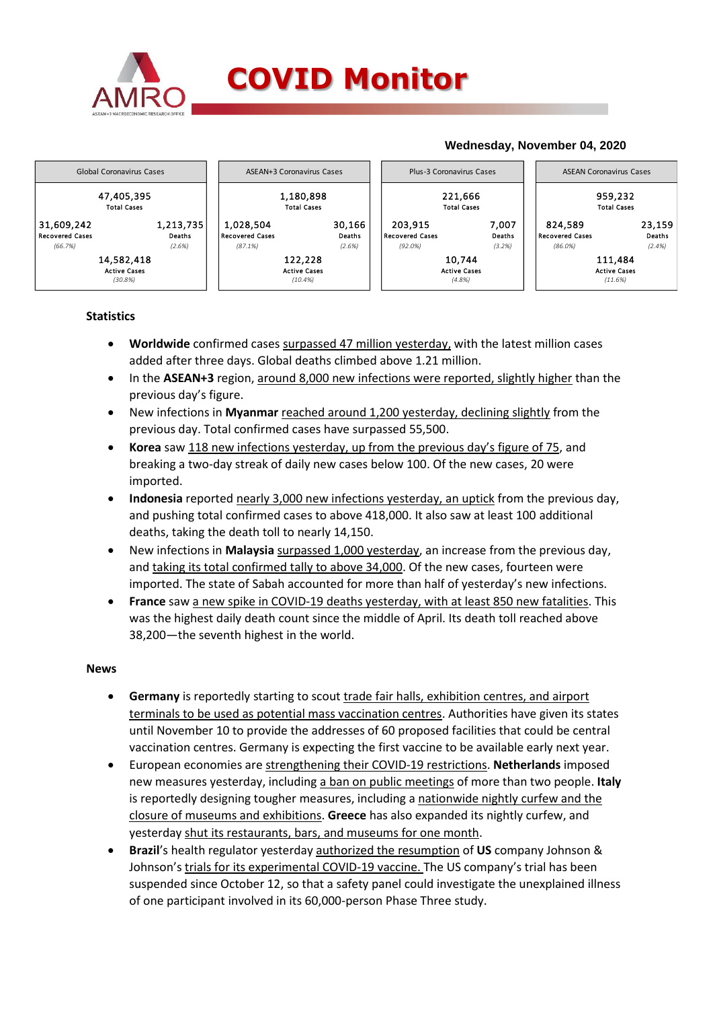



## **Statistics**

- **Worldwide** confirmed cases surpassed 47 million yesterday, with the latest million cases added after three days. Global deaths climbed above 1.21 million.
- In the **ASEAN+3** region, around 8,000 new infections were reported, slightly higher than the previous day's figure.
- New infections in **Myanmar** reached around 1,200 yesterday, declining slightly from the previous day. Total confirmed cases have surpassed 55,500.
- **Korea** saw 118 new infections yesterday, up from the previous day's figure of 75, and breaking a two-day streak of daily new cases below 100. Of the new cases, 20 were imported.
- **Indonesia** reported nearly 3,000 new infections yesterday, an uptick from the previous day, and pushing total confirmed cases to above 418,000. It also saw at least 100 additional deaths, taking the death toll to nearly 14,150.
- New infections in **Malaysia** surpassed 1,000 yesterday, an increase from the previous day, and taking its total confirmed tally to above 34,000. Of the new cases, fourteen were imported. The state of Sabah accounted for more than half of yesterday's new infections.
- **France** saw a new spike in COVID-19 deaths yesterday, with at least 850 new fatalities. This was the highest daily death count since the middle of April. Its death toll reached above 38,200—the seventh highest in the world.

## **News**

- **Germany** is reportedly starting to scout trade fair halls, exhibition centres, and airport terminals to be used as potential mass vaccination centres. Authorities have given its states until November 10 to provide the addresses of 60 proposed facilities that could be central vaccination centres. Germany is expecting the first vaccine to be available early next year.
- European economies are strengthening their COVID-19 restrictions. **Netherlands** imposed new measures yesterday, including a ban on public meetings of more than two people. **Italy**  is reportedly designing tougher measures, including a nationwide nightly curfew and the closure of museums and exhibitions. **Greece** has also expanded its nightly curfew, and yesterday shut its restaurants, bars, and museums for one month.
- **Brazil**'s health regulator yesterday authorized the resumption of **US** company Johnson & Johnson's trials for its experimental COVID-19 vaccine. The US company's trial has been suspended since October 12, so that a safety panel could investigate the unexplained illness of one participant involved in its 60,000-person Phase Three study.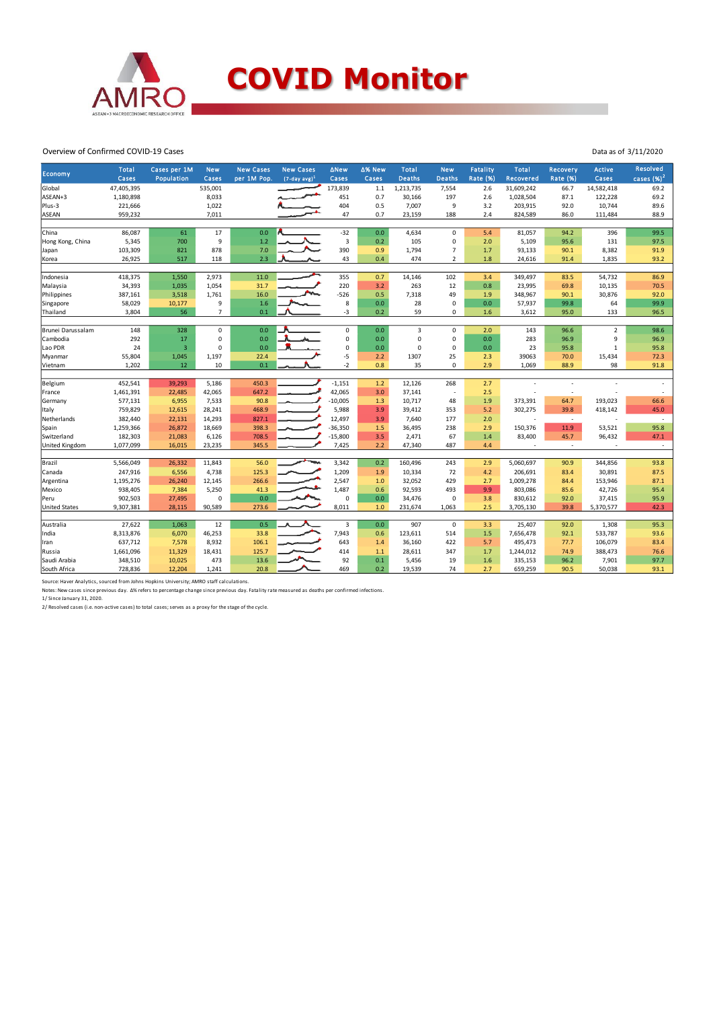

## Overview of Confirmed COVID-19 Cases

| <b>Economy</b>       | <b>Total</b><br>Cases | Cases per 1M<br>Population | <b>New</b><br>Cases | <b>New Cases</b><br>per 1M Pop. | <b>New Cases</b><br>$(7$ -day avg $)^1$ | ∆New<br>Cases           | ∆% New<br>Cases | <b>Total</b><br><b>Deaths</b> | <b>New</b><br><b>Deaths</b> | <b>Fatality</b><br><b>Rate (%)</b> | <b>Total</b><br>Recovered | Recovery<br><b>Rate (%)</b> | <b>Active</b><br>Cases | <b>Resolved</b><br>cases $(%)2$ |
|----------------------|-----------------------|----------------------------|---------------------|---------------------------------|-----------------------------------------|-------------------------|-----------------|-------------------------------|-----------------------------|------------------------------------|---------------------------|-----------------------------|------------------------|---------------------------------|
| Global               | 47,405,395            |                            | 535,001             |                                 |                                         | 173,839                 | $1.1\,$         | 1,213,735                     | 7,554                       | 2.6                                | 31,609,242                | 66.7                        | 14,582,418             | 69.2                            |
| ASEAN+3              | 1,180,898             |                            | 8,033               |                                 |                                         | 451                     | 0.7             | 30,166                        | 197                         | 2.6                                | 1,028,504                 | 87.1                        | 122,228                | 69.2                            |
| Plus-3               | 221,666               |                            | 1,022               |                                 |                                         | 404                     | 0.5             | 7,007                         | 9                           | 3.2                                | 203,915                   | 92.0                        | 10,744                 | 89.6                            |
| <b>ASEAN</b>         | 959,232               |                            | 7,011               |                                 |                                         | 47                      | 0.7             | 23,159                        | 188                         | 2.4                                | 824,589                   | 86.0                        | 111,484                | 88.9                            |
|                      |                       |                            |                     |                                 |                                         |                         |                 |                               |                             |                                    |                           |                             |                        |                                 |
| China                | 86,087                | 61                         | 17                  | 0.0                             |                                         | $-32$                   | 0.0             | 4,634                         | $\mathbf 0$                 | 5.4                                | 81,057                    | 94.2                        | 396                    | 99.5                            |
| Hong Kong, China     | 5,345                 | 700                        | 9                   | 1.2                             |                                         | $\overline{\mathbf{3}}$ | 0.2             | 105                           | $\Omega$                    | 2.0                                | 5,109                     | 95.6                        | 131                    | 97.5                            |
| Japan                | 103,309               | 821                        | 878                 | 7.0                             |                                         | 390                     | 0.9             | 1,794                         | $\overline{7}$              | 1.7                                | 93,133                    | 90.1                        | 8,382                  | 91.9                            |
| Korea                | 26,925                | 517                        | 118                 | 2.3                             |                                         | 43                      | 0.4             | 474                           | $\overline{2}$              | 1.8                                | 24,616                    | 91.4                        | 1,835                  | 93.2                            |
|                      |                       |                            |                     |                                 |                                         |                         |                 |                               |                             |                                    |                           |                             |                        |                                 |
| Indonesia            | 418,375               | 1,550                      | 2,973               | 11.0                            |                                         | 355                     | 0.7             | 14,146                        | 102                         | 3.4                                | 349,497                   | 83.5                        | 54,732                 | 86.9                            |
| Malaysia             | 34,393                | 1,035                      | 1,054               | 31.7                            |                                         | 220                     | 3.2             | 263                           | 12                          | 0.8                                | 23,995                    | 69.8                        | 10,135                 | 70.5                            |
| Philippines          | 387,161               | 3,518                      | 1,761               | 16.0                            |                                         | $-526$                  | 0.5             | 7,318                         | 49                          | 1.9                                | 348,967                   | 90.1                        | 30,876                 | 92.0                            |
| Singapore            | 58,029                | 10,177                     | 9                   | 1.6                             |                                         | 8                       | 0.0             | 28                            | 0                           | 0.0                                | 57,937                    | 99.8                        | 64                     | 99.9                            |
| Thailand             | 3,804                 | 56                         | $\overline{7}$      | 0.1                             |                                         | $-3$                    | 0.2             | 59                            | $\mathbf 0$                 | 1.6                                | 3,612                     | 95.0                        | 133                    | 96.5                            |
|                      |                       |                            | $\mathbf 0$         |                                 |                                         |                         |                 | $\overline{3}$                | $\Omega$                    |                                    |                           |                             | $\overline{2}$         | 98.6                            |
| Brunei Darussalam    | 148                   | 328                        |                     | 0.0                             |                                         | $\mathsf 0$             | 0.0             |                               |                             | 2.0                                | 143                       | 96.6                        |                        |                                 |
| Cambodia             | 292                   | 17<br>$\overline{3}$       | 0<br>$\Omega$       | 0.0                             |                                         | $\mathsf 0$             | 0.0             | $\mathsf 0$<br>0              | $\mathsf 0$<br>$\mathbf 0$  | 0.0                                | 283                       | 96.9                        | 9                      | 96.9                            |
| Lao PDR              | 24                    |                            |                     | 0.0                             |                                         | $\mathsf 0$             | 0.0             |                               |                             | 0.0                                | 23                        | 95.8                        | $\mathbf 1$            | 95.8                            |
| Myanmar              | 55,804                | 1,045                      | 1,197               | 22.4                            |                                         | $-5$                    | 2.2             | 1307                          | 25                          | 2.3                                | 39063                     | 70.0                        | 15,434                 | 72.3                            |
| Vietnam              | 1,202                 | 12                         | 10                  | 0.1                             |                                         | $-2$                    | 0.8             | 35                            | $\Omega$                    | 2.9                                | 1,069                     | 88.9                        | 98                     | 91.8                            |
| Belgium              | 452,541               | 39,293                     | 5,186               | 450.3                           |                                         | $-1,151$                | $1.2$           | 12,126                        | 268                         | 2.7                                |                           |                             |                        |                                 |
| France               | 1,461,391             | 22,485                     | 42,065              | 647.2                           |                                         | 42,065                  | 3.0             | 37,141                        | $\overline{\phantom{a}}$    | 2.5                                |                           | $\overline{a}$              |                        |                                 |
| Germany              | 577,131               | 6,955                      | 7,533               | 90.8                            |                                         | $-10,005$               | 1.3             | 10,717                        | 48                          | 1.9                                | 373,391                   | 64.7                        | 193,023                | 66.6                            |
| Italy                | 759,829               | 12,615                     | 28,241              | 468.9                           |                                         | 5,988                   | 3.9             | 39,412                        | 353                         | 5.2                                | 302,275                   | 39.8                        | 418,142                | 45.0                            |
| Netherlands          | 382,440               | 22,131                     | 14,293              | 827.1                           |                                         | 12,497                  | 3.9             | 7,640                         | 177                         | 2.0                                |                           | $\overline{\phantom{a}}$    | J.                     | $\sim$                          |
| Spain                | 1,259,366             | 26,872                     | 18,669              | 398.3                           |                                         | $-36,350$               | 1.5             | 36,495                        | 238                         | 2.9                                | 150,376                   | 11.9                        | 53,521                 | 95.8                            |
| Switzerland          | 182,303               | 21,083                     | 6,126               | 708.5                           |                                         | $-15,800$               | 3.5             | 2,471                         | 67                          | 1.4                                | 83,400                    | 45.7                        | 96,432                 | 47.1                            |
| United Kingdom       | 1,077,099             | 16,015                     | 23,235              | 345.5                           |                                         | 7,425                   | 2.2             | 47,340                        | 487                         | 4.4                                |                           | $\overline{\phantom{a}}$    |                        | $\overline{\phantom{a}}$        |
|                      |                       |                            |                     |                                 |                                         |                         |                 |                               |                             |                                    |                           |                             |                        |                                 |
| Brazil               | 5,566,049             | 26,332                     | 11,843              | 56.0                            |                                         | 3,342                   | 0.2             | 160,496                       | 243                         | 2.9                                | 5,060,697                 | 90.9                        | 344,856                | 93.8                            |
| Canada               | 247,916               | 6,556                      | 4,738               | 125.3                           |                                         | 1,209                   | 1.9             | 10,334                        | 72                          | 4.2                                | 206,691                   | 83.4                        | 30,891                 | 87.5                            |
| Argentina            | 1,195,276             | 26,240                     | 12,145              | 266.6                           |                                         | 2,547                   | 1.0             | 32,052                        | 429                         | 2.7                                | 1,009,278                 | 84.4                        | 153,946                | 87.1                            |
| Mexico               | 938,405               | 7,384                      | 5,250               | 41.3                            |                                         | 1,487                   | 0.6             | 92,593                        | 493                         | 9.9                                | 803,086                   | 85.6                        | 42,726                 | 95.4                            |
| Peru                 | 902,503               | 27,495                     | $\mathbf 0$         | 0.0                             |                                         | $\mathbf 0$             | 0.0             | 34,476                        | $\mathbf 0$                 | 3.8                                | 830,612                   | 92.0                        | 37,415                 | 95.9                            |
| <b>United States</b> | 9,307,381             | 28,115                     | 90,589              | 273.6                           |                                         | 8,011                   | 1.0             | 231,674                       | 1,063                       | 2.5                                | 3,705,130                 | 39.8                        | 5,370,577              | 42.3                            |
|                      |                       |                            |                     |                                 |                                         |                         |                 |                               |                             |                                    |                           |                             |                        |                                 |
| Australia            | 27,622                | 1,063                      | 12                  | 0.5                             |                                         | 3                       | 0.0             | 907                           | $\mathsf 0$                 | 3.3                                | 25,407                    | 92.0                        | 1,308                  | 95.3                            |
| India                | 8,313,876             | 6,070                      | 46,253              | 33.8                            |                                         | 7,943                   | 0.6             | 123,611                       | 514                         | 1.5                                | 7,656,478                 | 92.1                        | 533,787                | 93.6                            |
| Iran                 | 637,712               | 7,578                      | 8,932               | 106.1                           |                                         | 643                     | 1.4             | 36,160                        | 422                         | 5.7                                | 495,473                   | 77.7                        | 106,079                | 83.4                            |
| Russia               | 1,661,096             | 11,329                     | 18,431              | 125.7                           |                                         | 414                     | 1.1             | 28,611                        | 347                         | 1.7                                | 1,244,012                 | 74.9                        | 388,473                | 76.6                            |
| Saudi Arabia         | 348,510               | 10,025                     | 473                 | 13.6                            |                                         | 92                      | 0.1             | 5,456                         | 19                          | 1.6                                | 335,153                   | 96.2                        | 7,901                  | 97.7                            |
| South Africa         | 728,836               | 12,204                     | 1,241               | 20.8                            |                                         | 469                     | 0.2             | 19,539                        | 74                          | 2.7                                | 659,259                   | 90.5                        | 50,038                 | 93.1                            |

Data as of 3/11/2020

Source: Haver Analytics, sourced from Johns Hopkins University; AMRO staff calculations.<br>Notes: New cases since previous day. ∆% refers to percentage change since previous day. Fatality rate measured as deaths per confirme

2/ Resolved cases (i.e. non-active cases) to total cases; serves as a proxy for the stage of the cycle.